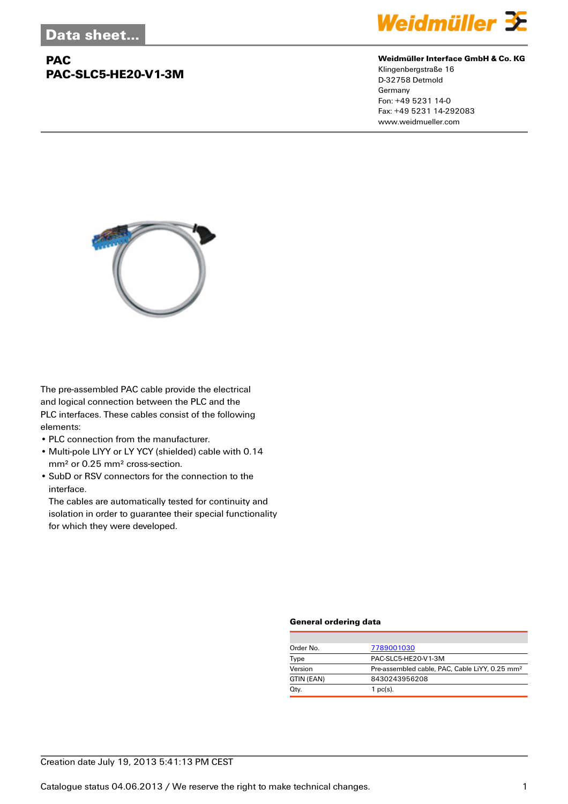## **PAC PAC-SLC5-HE20-V1-3M**



#### **Weidmüller Interface GmbH & Co. KG**

Klingenbergstraße 16 D-32758 Detmold Germany Fon: +49 5231 14-0 Fax: +49 5231 14-292083 www.weidmueller.com



The pre-assembled PAC cable provide the electrical and logical connection between the PLC and the PLC interfaces. These cables consist of the following elements:

- PLC connection from the manufacturer.
- Multi-pole LIYY or LY YCY (shielded) cable with 0.14 mm² or 0.25 mm² cross-section.
- SubD or RSV connectors for the connection to the interface.

The cables are automatically tested for continuity and isolation in order to guarantee their special functionality for which they were developed.

#### **General ordering data**

| Order No.  | 7789001030                                                 |
|------------|------------------------------------------------------------|
| Type       | PAC-SLC5-HE20-V1-3M                                        |
| Version    | Pre-assembled cable, PAC, Cable LiYY, 0.25 mm <sup>2</sup> |
| GTIN (EAN) | 8430243956208                                              |
| Qty.       | $1$ pc(s).                                                 |